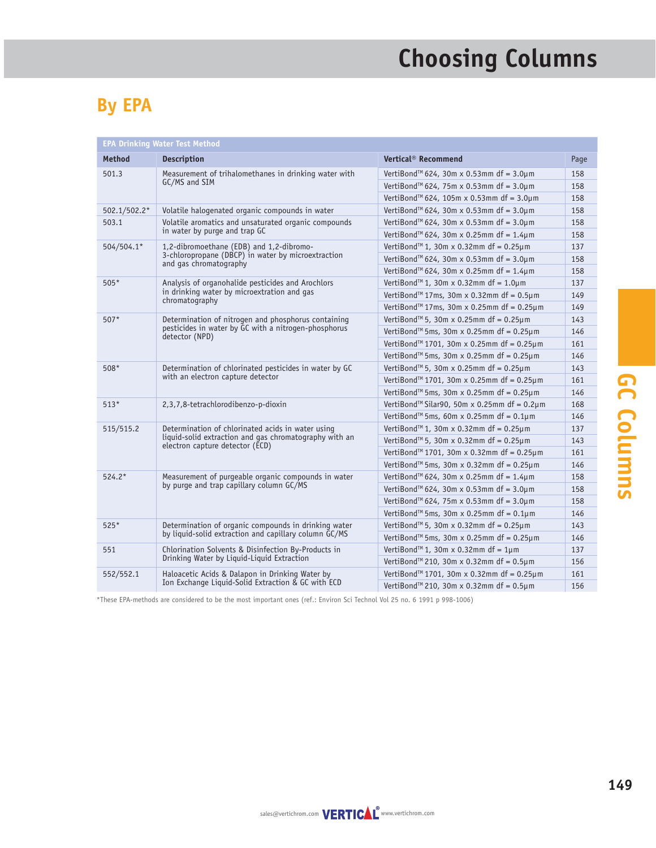# **Choosing Columns**

#### **By EPA**

| <b>EPA Drinking Water Test Method</b> |                                                                                                                                                |                                                              |      |  |  |  |
|---------------------------------------|------------------------------------------------------------------------------------------------------------------------------------------------|--------------------------------------------------------------|------|--|--|--|
| <b>Method</b>                         | <b>Description</b>                                                                                                                             | Vertical <sup>®</sup> Recommend                              | Page |  |  |  |
| 501.3                                 | Measurement of trihalomethanes in drinking water with                                                                                          | VertiBond™ 624, 30m x 0.53mm df = 3.0µm                      | 158  |  |  |  |
|                                       | GC/MS and SIM                                                                                                                                  | VertiBond <sup>™</sup> 624, 75m x 0.53mm df = 3.0µm          | 158  |  |  |  |
|                                       |                                                                                                                                                | VertiBond <sup>™</sup> 624, 105m x 0.53mm df = 3.0µm         | 158  |  |  |  |
| 502.1/502.2*                          | Volatile halogenated organic compounds in water                                                                                                | VertiBond™ 624, 30m x 0.53mm df = $3.0 \mu$ m                | 158  |  |  |  |
| 503.1                                 | Volatile aromatics and unsaturated organic compounds<br>in water by purge and trap GC                                                          | VertiBond™ 624, 30m x 0.53mm df = $3.0 \mu$ m                | 158  |  |  |  |
|                                       |                                                                                                                                                | VertiBond <sup>™</sup> 624, 30m x 0.25mm df = 1.4µm          | 158  |  |  |  |
| 504/504.1*                            | 1,2-dibromoethane (EDB) and 1,2-dibromo-<br>3-chloropropane (DBCP) in water by microextraction<br>and gas chromatography                       | VertiBond <sup>™</sup> 1, 30m x 0.32mm df = $0.25 \mu$ m     | 137  |  |  |  |
|                                       |                                                                                                                                                | VertiBond <sup>™</sup> 624, 30m x 0.53mm df = 3.0µm          | 158  |  |  |  |
|                                       |                                                                                                                                                | VertiBond <sup>™</sup> 624, 30m x 0.25mm df = 1.4µm          | 158  |  |  |  |
| $505*$                                | Analysis of organohalide pesticides and Arochlors<br>in drinking water by microextration and gas<br>chromatography                             | VertiBond <sup>™</sup> 1, 30m x 0.32mm df = 1.0µm            | 137  |  |  |  |
|                                       |                                                                                                                                                | VertiBond <sup>™</sup> 17ms, 30m x 0.32mm df = $0.5 \mu$ m   | 149  |  |  |  |
|                                       |                                                                                                                                                | VertiBond <sup>™</sup> 17ms, 30m x 0.25mm df = $0.25 \mu$ m  | 149  |  |  |  |
| $507*$                                | Determination of nitrogen and phosphorus containing                                                                                            | VertiBond™ 5, 30m x 0.25mm df = $0.25 \mu$ m                 | 143  |  |  |  |
|                                       | pesticides in water by GC with a nitrogen-phosphorus<br>detector (NPD)                                                                         | VertiBond™ 5ms, 30m x 0.25mm df = $0.25 \mu$ m               | 146  |  |  |  |
|                                       |                                                                                                                                                | VertiBond <sup>™</sup> 1701, 30m x 0.25mm df = 0.25µm        | 161  |  |  |  |
|                                       |                                                                                                                                                | VertiBond <sup>™</sup> 5ms, 30m x 0.25mm df = $0.25 \mu$ m   | 146  |  |  |  |
| $508*$                                | Determination of chlorinated pesticides in water by GC<br>with an electron capture detector                                                    | VertiBond <sup>™</sup> 5, 30m x 0.25mm df = $0.25 \mu$ m     | 143  |  |  |  |
|                                       |                                                                                                                                                | VertiBond <sup>™</sup> 1701, 30m x 0.25mm df = 0.25µm        | 161  |  |  |  |
|                                       |                                                                                                                                                | VertiBond <sup>™</sup> 5ms, 30m x 0.25mm df = $0.25 \mu$ m   | 146  |  |  |  |
| $513*$                                | 2,3,7,8-tetrachlorodibenzo-p-dioxin                                                                                                            | VertiBond <sup>™</sup> Silar90, 50m x 0.25mm df = $0.2\mu$ m | 168  |  |  |  |
|                                       |                                                                                                                                                | VertiBond <sup>™</sup> 5ms, 60m x 0.25mm df = $0.1 \mu$ m    | 146  |  |  |  |
| 515/515.2                             | Determination of chlorinated acids in water using<br>liquid-solid extraction and gas chromatography with an<br>electron capture detector (ECD) | VertiBond <sup>™</sup> 1, 30m x 0.32mm df = $0.25 \mu$ m     | 137  |  |  |  |
|                                       |                                                                                                                                                | VertiBond <sup>™</sup> 5, 30m x 0.32mm df = $0.25 \mu$ m     | 143  |  |  |  |
|                                       |                                                                                                                                                | VertiBond <sup>™</sup> 1701, 30m x 0.32mm df = 0.25µm        | 161  |  |  |  |
|                                       |                                                                                                                                                | VertiBond™ 5ms, 30m x 0.32mm df = $0.25 \mu$ m               | 146  |  |  |  |
| $524.2*$                              | Measurement of purgeable organic compounds in water<br>by purge and trap capillary column GC/MS                                                | VertiBond <sup>™</sup> 624, 30m x 0.25mm df = 1.4µm          | 158  |  |  |  |
|                                       |                                                                                                                                                | VertiBond <sup>™</sup> 624, 30m x 0.53mm df = 3.0µm          | 158  |  |  |  |
|                                       |                                                                                                                                                | VertiBond™ 624, 75m x 0.53mm df = 3.0µm                      | 158  |  |  |  |
|                                       |                                                                                                                                                | VertiBond <sup>™</sup> 5ms, 30m x 0.25mm df = $0.1 \mu$ m    | 146  |  |  |  |
| $525*$                                | Determination of organic compounds in drinking water<br>by liquid-solid extraction and capillary column GC/MS                                  | VertiBond <sup>™</sup> 5, 30m x 0.32mm df = $0.25 \mu$ m     | 143  |  |  |  |
|                                       |                                                                                                                                                | VertiBond <sup>™</sup> 5ms, 30m x 0.25mm df = $0.25 \mu$ m   | 146  |  |  |  |
| 551                                   | Chlorination Solvents & Disinfection By-Products in<br>Drinking Water by Liquid-Liquid Extraction                                              | VertiBond <sup>™</sup> 1, 30m x 0.32mm df = 1µm              | 137  |  |  |  |
|                                       |                                                                                                                                                | VertiBond <sup>™</sup> 210, 30m x 0.32mm df = $0.5 \mu$ m    | 156  |  |  |  |
| 552/552.1                             | Haloacetic Acids & Dalapon in Drinking Water by<br>Ion Exchange Liquid-Solid Extraction & GC with ECD                                          | VertiBond <sup>™</sup> 1701, 30m x 0.32mm df = 0.25µm        | 161  |  |  |  |
|                                       |                                                                                                                                                | VertiBond <sup>™</sup> 210, 30m x 0.32mm df = $0.5 \mu$ m    | 156  |  |  |  |

\*These EPA-methods are considered to be the most important ones (ref.: Environ Sci Technol Vol 25 no. 6 1991 p 998-1006)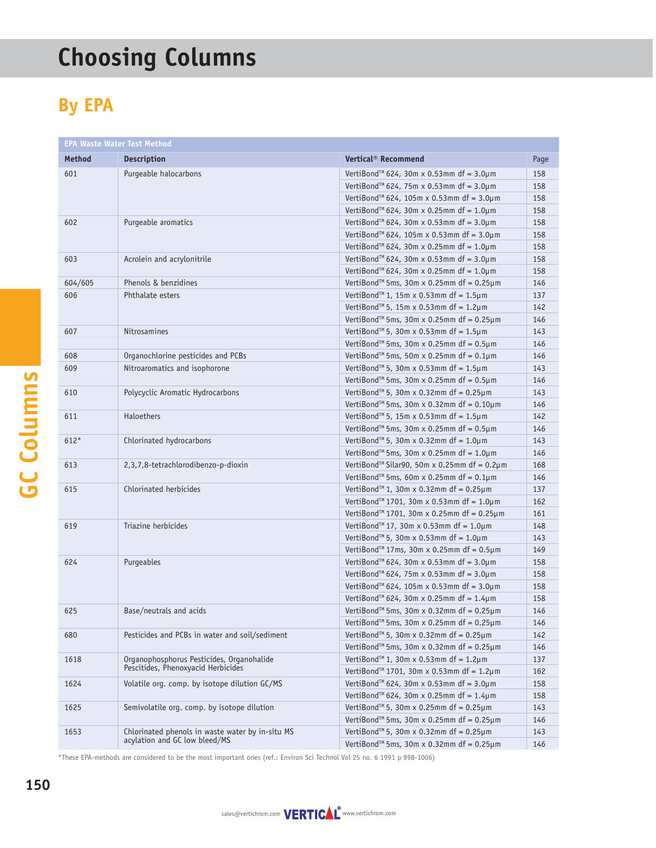# **Choosing Columns**

#### **By EPA**

|  | <b>EPA Waste Water Test Method</b> |                                                                                   |                                                              |      |  |  |  |
|--|------------------------------------|-----------------------------------------------------------------------------------|--------------------------------------------------------------|------|--|--|--|
|  | <b>Method</b>                      | <b>Description</b>                                                                | Vertical <sup>®</sup> Recommend                              | Page |  |  |  |
|  | 601                                | Purgeable halocarbons                                                             | VertiBond™ 624, 30m x 0.53mm df = $3.0 \mu$ m                | 158  |  |  |  |
|  |                                    |                                                                                   | VertiBond <sup>™</sup> 624, 75m x 0.53mm df = 3.0µm          | 158  |  |  |  |
|  |                                    |                                                                                   | VertiBond <sup>™</sup> 624, 105m x 0.53mm df = 3.0µm         | 158  |  |  |  |
|  |                                    |                                                                                   | VertiBond <sup>™</sup> 624, 30m x 0.25mm df = 1.0µm          | 158  |  |  |  |
|  | 602                                | Purgeable aromatics                                                               | VertiBond <sup>™</sup> 624, 30m x 0.53mm df = 3.0µm          | 158  |  |  |  |
|  |                                    |                                                                                   | VertiBond <sup>™</sup> 624, 105m x 0.53mm df = 3.0µm         | 158  |  |  |  |
|  |                                    |                                                                                   | VertiBond <sup>™</sup> 624, 30m x 0.25mm df = 1.0µm          | 158  |  |  |  |
|  | 603                                | Acrolein and acrylonitrile                                                        | VertiBond™ 624, 30m x 0.53mm df = $3.0 \mu$ m                | 158  |  |  |  |
|  |                                    |                                                                                   | VertiBond™ 624, 30m x 0.25mm df = $1.0 \mu$ m                | 158  |  |  |  |
|  | 604/605                            | Phenols & benzidines                                                              | VertiBond <sup>™</sup> 5ms, 30m x 0.25mm df = $0.25\mu$ m    | 146  |  |  |  |
|  | 606                                | Phthalate esters                                                                  | VertiBond <sup>™</sup> 1, 15m x 0.53mm df = 1.5µm            | 137  |  |  |  |
|  |                                    |                                                                                   | VertiBond <sup>™</sup> 5, 15m x 0.53mm df = 1.2µm            | 142  |  |  |  |
|  |                                    |                                                                                   | VertiBond <sup>™</sup> 5ms, 30m x 0.25mm df = $0.25 \mu$ m   | 146  |  |  |  |
|  | 607                                | Nitrosamines                                                                      | VertiBond <sup>™</sup> 5, 30m x 0.53mm df = 1.5µm            | 143  |  |  |  |
|  |                                    |                                                                                   | VertiBond <sup>™</sup> 5ms, 30m x 0.25mm df = $0.5 \mu$ m    | 146  |  |  |  |
|  | 608                                | Organochlorine pesticides and PCBs                                                | VertiBond <sup>™</sup> 5ms, 50m x 0.25mm df = $0.1 \mu$ m    | 146  |  |  |  |
|  | 609                                | Nitroaromatics and isophorone                                                     | VertiBond <sup>™</sup> 5, 30m x 0.53mm df = $1.5 \mu$ m      | 143  |  |  |  |
|  |                                    |                                                                                   | VertiBond™ 5ms, 30m x 0.25mm df = $0.5 \mu$ m                | 146  |  |  |  |
|  | 610                                | Polycyclic Aromatic Hydrocarbons                                                  | VertiBond <sup>™</sup> 5, 30m x 0.32mm df = $0.25 \mu$ m     | 143  |  |  |  |
|  |                                    |                                                                                   | VertiBond <sup>™</sup> 5ms, 30m x 0.32mm df = $0.10 \mu$ m   | 146  |  |  |  |
|  | 611                                | Haloethers                                                                        | VertiBond <sup>™</sup> 5, 15m x 0.53mm df = 1.5µm            | 142  |  |  |  |
|  |                                    |                                                                                   | VertiBond <sup>™</sup> 5ms, 30m x 0.25mm df = $0.5 \mu$ m    | 146  |  |  |  |
|  | $612*$                             | Chlorinated hydrocarbons                                                          | VertiBond™ 5, 30m x 0.32mm df = $1.0 \mu$ m                  | 143  |  |  |  |
|  |                                    |                                                                                   | VertiBond <sup>™</sup> 5ms, 30m x 0.25mm df = 1.0µm          | 146  |  |  |  |
|  | 613                                | 2,3,7,8-tetrachlorodibenzo-p-dioxin                                               | VertiBond <sup>™</sup> Silar90, 50m x 0.25mm df = $0.2\mu$ m | 168  |  |  |  |
|  |                                    |                                                                                   | VertiBond <sup>™</sup> 5ms, 60m x 0.25mm df = $0.1 \mu$ m    | 146  |  |  |  |
|  | 615                                | Chlorinated herbicides                                                            | VertiBond <sup>™</sup> 1, 30m x 0.32mm df = $0.25 \mu$ m     | 137  |  |  |  |
|  |                                    |                                                                                   | VertiBond <sup>™</sup> 1701, 30m x 0.53mm df = 1.0µm         | 162  |  |  |  |
|  |                                    |                                                                                   | VertiBond <sup>™</sup> 1701, 30m x 0.25mm df = 0.25µm        | 161  |  |  |  |
|  | 619                                | Triazine herbicides                                                               | VertiBond <sup>™</sup> 17, 30m x 0.53mm df = 1.0µm           | 148  |  |  |  |
|  |                                    |                                                                                   | VertiBond <sup>™</sup> 5, 30m x 0.53mm df = 1.0µm            | 143  |  |  |  |
|  |                                    |                                                                                   | VertiBond <sup>™</sup> 17ms, 30m x 0.25mm df = $0.5 \mu$ m   | 149  |  |  |  |
|  | 624                                | Purgeables                                                                        | VertiBond <sup>™</sup> 624, 30m x 0.53mm df = 3.0µm          | 158  |  |  |  |
|  |                                    |                                                                                   | VertiBond <sup>™</sup> 624, 75m x 0.53mm df = 3.0µm          | 158  |  |  |  |
|  |                                    |                                                                                   | VertiBond™ 624, 105m x 0.53mm df = 3.0µm                     | 158  |  |  |  |
|  |                                    |                                                                                   | VertiBond <sup>™</sup> 624, 30m x 0.25mm df = 1.4µm          | 158  |  |  |  |
|  | 625                                | Base/neutrals and acids                                                           | VertiBond <sup>™</sup> 5ms, 30m x 0.32mm df = $0.25 \mu$ m   | 146  |  |  |  |
|  |                                    |                                                                                   | VertiBond <sup>™</sup> 5ms, 30m x 0.25mm df = $0.25 \mu$ m   | 146  |  |  |  |
|  | 680                                | Pesticides and PCBs in water and soil/sediment                                    | VertiBond <sup>™</sup> 5, 30m x 0.32mm df = 0.25 $\mu$ m     | 142  |  |  |  |
|  |                                    |                                                                                   | VertiBond™ 5ms, 30m x 0.32mm df = $0.25 \mu$ m               | 146  |  |  |  |
|  | 1618                               | Organophosphorus Pesticides, Organohalide<br>Pescitides, Phenoxyacid Herbicides   | VertiBond <sup>™</sup> 1, 30m x 0.53mm df = 1.2µm            | 137  |  |  |  |
|  |                                    |                                                                                   | VertiBond™ 1701, 30m x 0.53mm df = 1.2µm                     | 162  |  |  |  |
|  | 1624                               | Volatile org. comp. by isotope dilution GC/MS                                     | VertiBond <sup>™</sup> 624, 30m x 0.53mm df = 3.0µm          | 158  |  |  |  |
|  |                                    |                                                                                   | VertiBond <sup>™</sup> 624, 30m x 0.25mm df = 1.4µm          | 158  |  |  |  |
|  | 1625                               | Semivolatile org. comp. by isotope dilution                                       | VertiBond <sup>™</sup> 5, 30m x 0.25mm df = $0.25 \mu$ m     | 143  |  |  |  |
|  |                                    |                                                                                   | VertiBond <sup>™</sup> 5ms, 30m x 0.25mm df = $0.25 \mu$ m   | 146  |  |  |  |
|  | 1653                               | Chlorinated phenols in waste water by in-situ MS<br>acylation and GC low bleed/MS | VertiBond <sup>™</sup> 5, 30m x 0.32mm df = $0.25 \mu$ m     | 143  |  |  |  |
|  |                                    |                                                                                   | VertiBond™ 5ms, 30m x 0.32mm df = $0.25 \mu$ m               | 146  |  |  |  |

\*These EPA-methods are considered to be the most important ones (ref.: Environ Sci Technol Vol 25 no. 6 1991 p 998-1006)